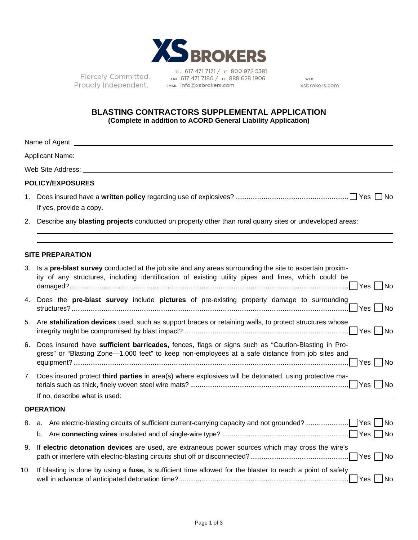

Fiercely Committed. Proudly Independent.

TEL 617 471 7171 / TF 800 972 5381 FAX 617 471 7180 / TF 888 628 1906 EMAIL info@xsbrokers.com

WEB xsbrokers.com

## **BLASTING CONTRACTORS SUPPLEMENTAL APPLICATION (Complete in addition to ACORD General Liability Application)**

|    | Applicant Name: Name: Name and Applicant Name and Applicant Name and Applicant Name and Applicant Name and Applicant Name and Applicant Name and Applicant Name and Applicant Name and Applicant Name and Applicant Name and A                                                                                                                |
|----|-----------------------------------------------------------------------------------------------------------------------------------------------------------------------------------------------------------------------------------------------------------------------------------------------------------------------------------------------|
|    |                                                                                                                                                                                                                                                                                                                                               |
|    | <b>POLICY/EXPOSURES</b>                                                                                                                                                                                                                                                                                                                       |
| 1. | If yes, provide a copy.                                                                                                                                                                                                                                                                                                                       |
|    | 2. Describe any blasting projects conducted on property other than rural quarry sites or undeveloped areas:                                                                                                                                                                                                                                   |
|    | <b>SITE PREPARATION</b>                                                                                                                                                                                                                                                                                                                       |
|    | 3. Is a pre-blast survey conducted at the job site and any areas surrounding the site to ascertain proxim-<br>ity of any structures, including identification of existing utility pipes and lines, which could be                                                                                                                             |
|    | 4. Does the pre-blast survey include pictures of pre-existing property damage to surrounding                                                                                                                                                                                                                                                  |
|    | 5. Are stabilization devices used, such as support braces or retaining walls, to protect structures whose                                                                                                                                                                                                                                     |
| 6. | Does insured have sufficient barricades, fences, flags or signs such as "Caution-Blasting in Pro-<br>gress" or "Blasting Zone-1,000 feet" to keep non-employees at a safe distance from job sites and                                                                                                                                         |
| 7. | Does insured protect third parties in area(s) where explosives will be detonated, using protective ma-<br>If no, describe what is used: <u>experience</u> and the set of the set of the set of the set of the set of the set of the set of the set of the set of the set of the set of the set of the set of the set of the set of the set of |
|    | <b>OPERATION</b>                                                                                                                                                                                                                                                                                                                              |
| 8. |                                                                                                                                                                                                                                                                                                                                               |
| 9. | If electric detonation devices are used, are extraneous power sources which may cross the wire's                                                                                                                                                                                                                                              |
|    | 10. If blasting is done by using a fuse, is sufficient time allowed for the blaster to reach a point of safety<br>$ $ No                                                                                                                                                                                                                      |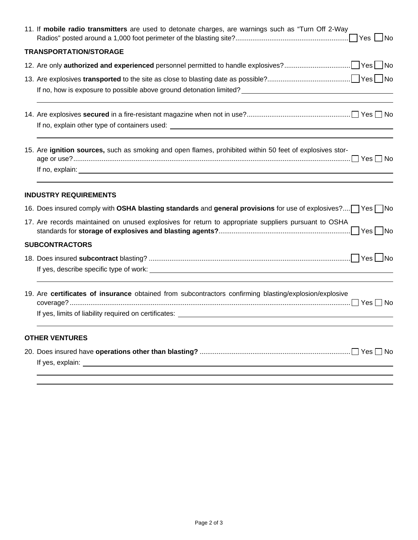| 11. If mobile radio transmitters are used to detonate charges, are warnings such as "Turn Off 2-Way                                                                                                                                  |
|--------------------------------------------------------------------------------------------------------------------------------------------------------------------------------------------------------------------------------------|
| <b>TRANSPORTATION/STORAGE</b>                                                                                                                                                                                                        |
|                                                                                                                                                                                                                                      |
|                                                                                                                                                                                                                                      |
|                                                                                                                                                                                                                                      |
|                                                                                                                                                                                                                                      |
|                                                                                                                                                                                                                                      |
| 15. Are ignition sources, such as smoking and open flames, prohibited within 50 feet of explosives stor-                                                                                                                             |
| If no, explain: <u>example and the set of the set of the set of the set of the set of the set of the set of the set of the set of the set of the set of the set of the set of the set of the set of the set of the set of the se</u> |
| <b>INDUSTRY REQUIREMENTS</b>                                                                                                                                                                                                         |
| 16. Does insured comply with OSHA blasting standards and general provisions for use of explosives? Yes No                                                                                                                            |
| 17. Are records maintained on unused explosives for return to appropriate suppliers pursuant to OSHA                                                                                                                                 |
| <b>SUBCONTRACTORS</b>                                                                                                                                                                                                                |
|                                                                                                                                                                                                                                      |
| 19. Are certificates of insurance obtained from subcontractors confirming blasting/explosion/explosive                                                                                                                               |
| <b>OTHER VENTURES</b>                                                                                                                                                                                                                |
|                                                                                                                                                                                                                                      |
|                                                                                                                                                                                                                                      |